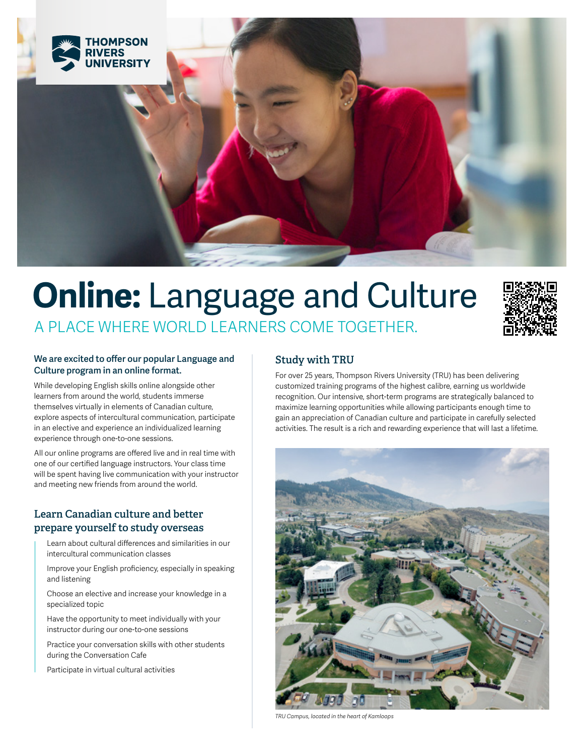

# **Online:** Language and Culture A PLACE WHERE WORLD LEARNERS COME TOGETHER.



### **We are excited to offer our popular Language and Culture program in an online format.**

While developing English skills online alongside other learners from around the world, students immerse themselves virtually in elements of Canadian culture, explore aspects of intercultural communication, participate in an elective and experience an individualized learning experience through one-to-one sessions.

All our online programs are offered live and in real time with one of our certified language instructors. Your class time will be spent having live communication with your instructor and meeting new friends from around the world.

# **Learn Canadian culture and better prepare yourself to study overseas**

Learn about cultural differences and similarities in our intercultural communication classes

Improve your English proficiency, especially in speaking and listening

Choose an elective and increase your knowledge in a specialized topic

Have the opportunity to meet individually with your instructor during our one-to-one sessions

Practice your conversation skills with other students during the Conversation Cafe

Participate in virtual cultural activities

# **Study with TRU**

For over 25 years, Thompson Rivers University (TRU) has been delivering customized training programs of the highest calibre, earning us worldwide recognition. Our intensive, short-term programs are strategically balanced to maximize learning opportunities while allowing participants enough time to gain an appreciation of Canadian culture and participate in carefully selected activities. The result is a rich and rewarding experience that will last a lifetime.



*TRU Campus, located in the heart of Kamloops*